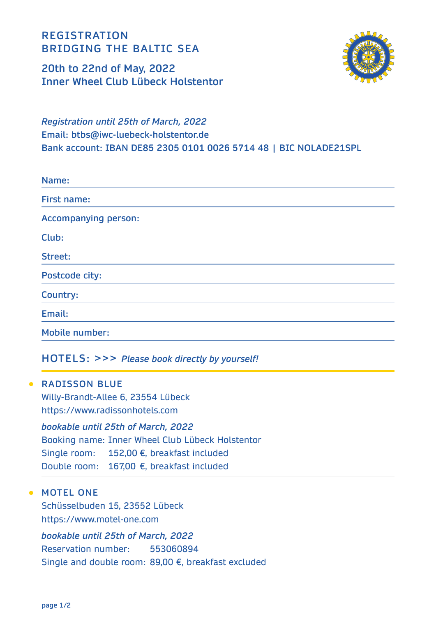**REGISTRATION BRIDGING THE BALTIC SEA** 

**20th to 22nd of May, 2022 Inner Wheel Club Lübeck Holstentor**



*Registration until 25th of March, 2022* **Email: btbs@iwc-luebeck-holstentor.de Bank account: IBAN DE85 2305 0101 0026 5714 48 | BIC NOLADE21SPL**

| Name:                       |
|-----------------------------|
| First name:                 |
| <b>Accompanying person:</b> |
| Club:                       |
| Street:                     |
| Postcode city:              |
| <b>Country:</b>             |
| Email:                      |
| <b>Mobile number:</b>       |

#### **HOTELS: >>>** *Please book directly by yourself!*

**• RADISSON BLUE** Willy-Brandt-Allee 6, 23554 Lübeck https://www.radissonhotels.com

*bookable until 25th of March, 2022* Booking name: Inner Wheel Club Lübeck Holstentor Single room: 152,00 €, breakfast included Double room: 167,00 €, breakfast included

#### **MOTEL ONE**

Schüsselbuden 15, 23552 Lübeck https://www.motel-one.com

*bookable until 25th of March, 2022*  Reservation number: 553060894 Single and double room: 89,00 €, breakfast excluded